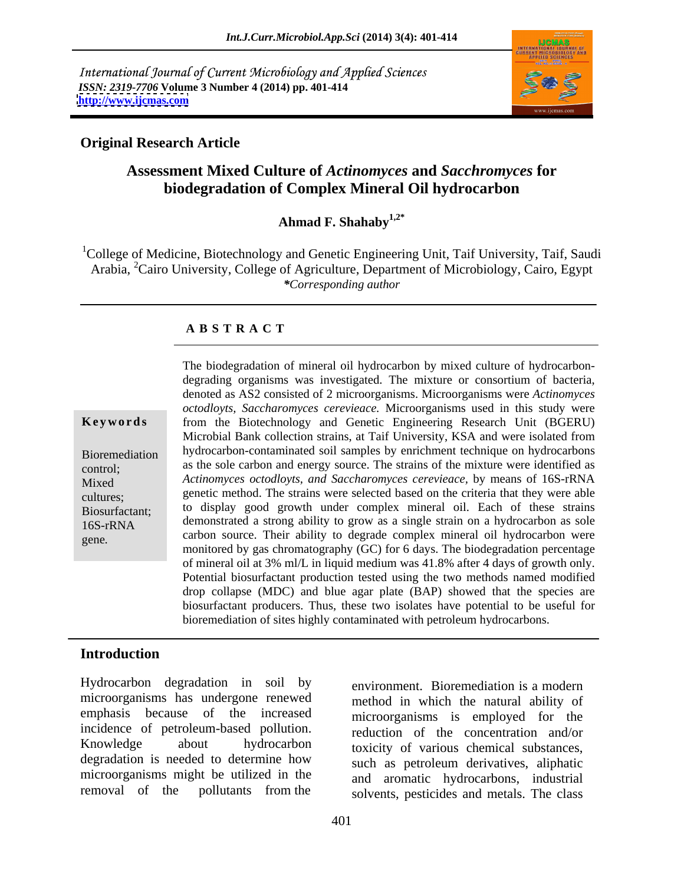International Journal of Current Microbiology and Applied Sciences *ISSN: 2319-7706* **Volume 3 Number 4 (2014) pp. 401-414 <http://www.ijcmas.com>**



## **Original Research Article**

## **Assessment Mixed Culture of** *Actinomyces* **and** *Sacchromyces* **for biodegradation of Complex Mineral Oil hydrocarbon**

**Ahmad F. Shahaby1,2\***

<sup>1</sup>College of Medicine, Biotechnology and Genetic Engineering Unit, Taif University, Taif, Saudi Arabia, <sup>2</sup>Cairo University, College of Agriculture, Department of Microbiology, Cairo, Egypt *\*Corresponding author*

## **A B S T R A C T**

**Ke ywo rds** from the Biotechnology and Genetic Engineering Research Unit (BGERU) Bioremediation hydrocarbon-contaminated soil samples by enrichment technique on hydrocarbons experimentalized as the sole carbon and energy source. The strains of the mixture were identified as Mixed *Actinomyces octodloyts, and Saccharomyces cerevieace,* by means of 16S-rRNA cultures; genetic method. The strains were selected based on the criteria that they were able Biosurfactant; to display good growth under complex mineral oil. Each of these strains 16S-rRNA demonstrated a strong ability to grow as a single strain on a hydrocarbon as sole The biodegradation of mineral oil hydrocarbon by mixed culture of hydrocarbon-<br>degrading organisms was investigated. The mixture or consortium of bacteria,<br>denoted as AS2 consisted of 2 microorganisms. Microorganisms were<br> *octodloyts, Saccharomyces cerevieace.* Microorganisms used in this study were Microbial Bank collection strains, at Taif University, KSA and were isolated from carbon source. Their ability to degrade complex mineral oil hydrocarbon were monitored by gas chromatography (GC) for 6 days. The biodegradation percentage of mineral oil at 3% ml/L in liquid medium was 41.8% after 4 days of growth only. Potential biosurfactant production tested using the two methods named modified drop collapse (MDC) and blue agar plate (BAP) showed that the species are biosurfactant producers. Thus, these two isolates have potential to be useful for bioremediation of sites highly contaminated with petroleum hydrocarbons.

## **Introduction**

Hydrocarbon degradation in soil by microorganisms has undergone renewed emphasis because of the increased incidence of petroleum-based pollution. degradation is needed to determine how microorganisms might be utilized in the

Knowledge about hydrocarbon toxicity of various chemical substances, removal of the pollutants from the solvents, pesticides and metals. The class environment. Bioremediation is a modern method in which the natural ability of microorganisms is employed for the reduction of the concentration and/or such as petroleum derivatives, aliphatic and aromatic hydrocarbons, industrial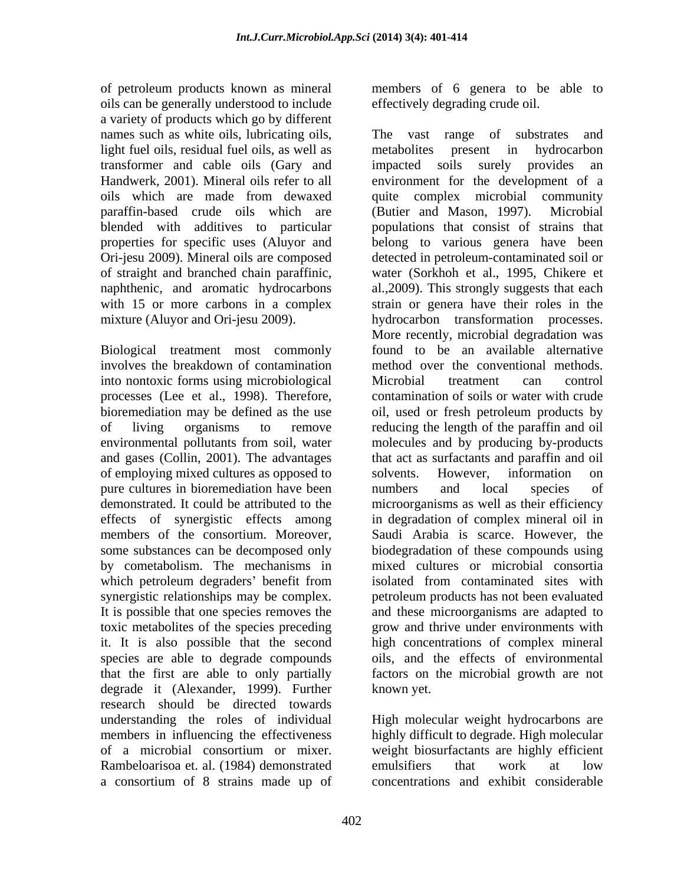of petroleum products known as mineral members of 6 genera to be able to oils can be generally understood to include a variety of products which go by different names such as white oils, lubricating oils, The vast range of substrates and light fuel oils, residual fuel oils, as well as metabolites present in hydrocarbon transformer and cable oils (Gary and paraffin-based crude oils which are (Butier and Mason, 1997). Microbial blended with additives to particular Ori-jesu 2009). Mineral oils are composed

Biological treatment most commonly involves the breakdown of contamination into nontoxic forms using microbiological processes (Lee et al., 1998). Therefore, and gases (Collin, 2001). The advantages of employing mixed cultures as opposed to solvents. However, information on pure cultures in bioremediation have been in numbers and local species of by cometabolism. The mechanisms in which petroleum degraders' benefit from isolated from contaminated sites with it. It is also possible that the second species are able to degrade compounds degrade it (Alexander, 1999). Further research should be directed towards understanding the roles of individual High molecular weight hydrocarbons are members in influencing the effectiveness highly difficult to degrade. High molecular of a microbial consortium or mixer. Rambeloarisoa et. al. (1984) demonstrated a consortium of 8 strains made up of

effectively degrading crude oil.

Handwerk, 2001). Mineral oils refer to all environment for the development of a oils which are made from dewaxed properties for specific uses (Aluyor and belong to various genera have been of straight and branched chain paraffinic, water (Sorkhoh et al., 1995, Chikere et naphthenic, and aromatic hydrocarbons al.,2009). This strongly suggests that each with 15 or more carbons in a complex strain or genera have their roles in the mixture (Aluyor and Ori-jesu 2009). hydrocarbon transformation processes. bioremediation may be defined as the use oil, used or fresh petroleum products by of living organisms to remove reducing the length of the paraffin and oil environmental pollutants from soil, water molecules and by producing by-products demonstrated. It could be attributed to the microorganisms as well as their efficiency effects of synergistic effects among in degradation of complex mineral oil in members of the consortium. Moreover, Saudi Arabia is scarce. However, the some substances can be decomposed only biodegradation of these compounds using synergistic relationships may be complex. petroleum products has not been evaluated It is possible that one species removes the and these microorganisms are adapted to toxic metabolites of the species preceding grow and thrive under environments with that the first are able to only partially factors on the microbial growth are not The vast range of substrates metabolites present in hydrocarbon impacted soils surely provides an quite complex microbial community (Butier and Mason,  $1997$ ). populations that consist of strains that detected in petroleum-contaminated soil or More recently, microbial degradation was found to be an available alternative method over the conventional methods. Microbial treatment can control contamination of soils or water with crude that act as surfactants and paraffin and oil solvents. However, information on numbers and local species of mixed cultures or microbial consortia isolated from contaminated sites with high concentrations of complex mineral oils, and the effects of environmental known yet.

> weight biosurfactants are highly efficient emulsifiers that work at low concentrations and exhibit considerable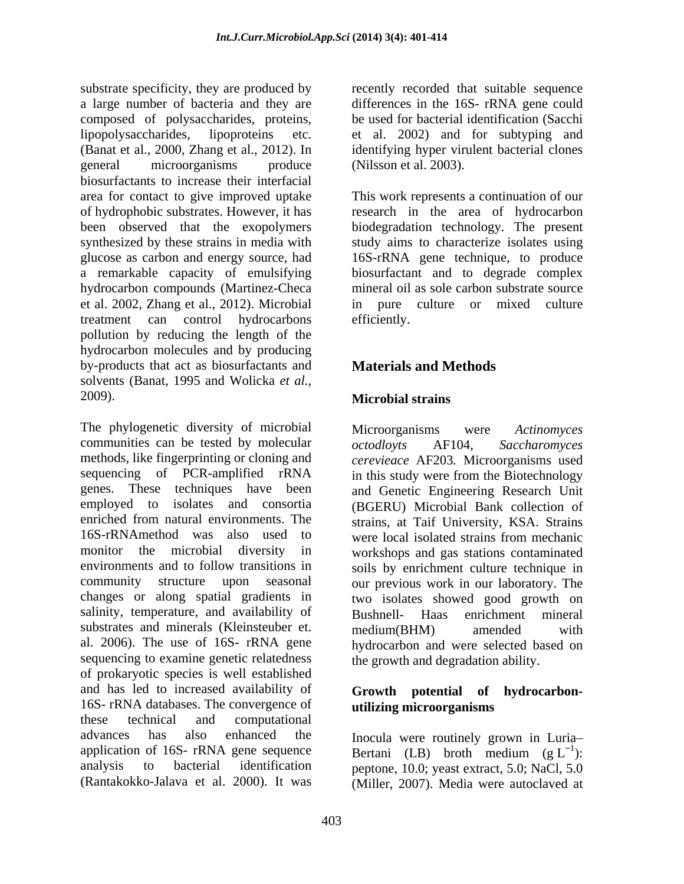substrate specificity, they are produced by recently recorded that suitable sequence a large number of bacteria and they are differences in the 16S- rRNA gene could composed of polysaccharides, proteins, lipopolysaccharides, lipoproteins etc. et al. 2002) and for subtyping and (Banat et al., 2000, Zhang et al., 2012). In identifying hyper virulent bacterial clones general microorganisms produce (Nilsson et al. 2003). biosurfactants to increase their interfacial area for contact to give improved uptake This work represents a continuation of our of hydrophobic substrates. However, it has research in the area of hydrocarbon been observed that the exopolymers biodegradation technology. The present synthesized by these strains in media with study aims to characterize isolates using glucose as carbon and energy source, had 16S-rRNA gene technique, to produce a remarkable capacity of emulsifying hydrocarbon compounds (Martinez-Checa et al. 2002, Zhang et al., 2012). Microbial treatment can control hydrocarbons pollution by reducing the length of the hydrocarbon molecules and by producing by-products that act as biosurfactants and solvents (Banat, 1995 and Wolicka *et al.,* 2009). Microbial strains

The phylogenetic diversity of microbial Microorganisms were Actinomyces communities can be tested by molecular  $octodlovts$  AF104. Saccharomyces methods, like fingerprinting or cloning and sequencing of PCR-amplified rRNA in this study were from the Biotechnology genes. These techniques have been and Genetic Engineering Research Unit employed to isolates and consortia (BGERU) Microbial Bank collection of enriched from natural environments. The strains, at Taif University, KSA. Strains 16S-rRNAmethod was also used to monitor the microbial diversity in workshops and gas stations contaminated environments and to follow transitions in soils by enrichment culture technique in community structure upon seasonal our previous work in our laboratory. The changes or along spatial gradients in two isolates showed good growth on salinity, temperature, and availability of Bushnell- Haas enrichment mineral substrates and minerals (Kleinsteuber et. medium (BHM) amended with al. 2006). The use of 16S- rRNA gene hydrocarbon and were selected based on sequencing to examine genetic relatedness of prokaryotic species is well established and has led to increased availability of **Growth potential of hydrocarbon-** 16S- rRNA databases. The convergence of<br>these technical and computational these technical and computational advances has also enhanced the Inocula were routinely grown in Luria application of 16S- rRNA gene sequence analysis to bacterial identification peptone, 10.0; yeast extract, 5.0; NaCl, 5.0

be used for bacterial identification (Sacchi (Nilsson et al. 2003).

biosurfactant and to degrade complex mineral oil as sole carbon substrate source in pure culture or mixed culture efficiently.

## **Materials and Methods**

## **Microbial strains**

Microorganisms were *Actinomyces octodloyts* AF104, *Saccharomyces cerevieace* AF203*.* Microorganisms used were local isolated strains from mechanic Bushnell- Haas enrichment mineral medium(BHM) amended with the growth and degradation ability.

# **utilizing microorganisms**

(Rantakokko-Jalava et al. 2000). It was (Miller, 2007). Media were autoclaved atBertani (LB) broth medium  $(g L^{-1})$ :  $1_{\lambda}$ . ):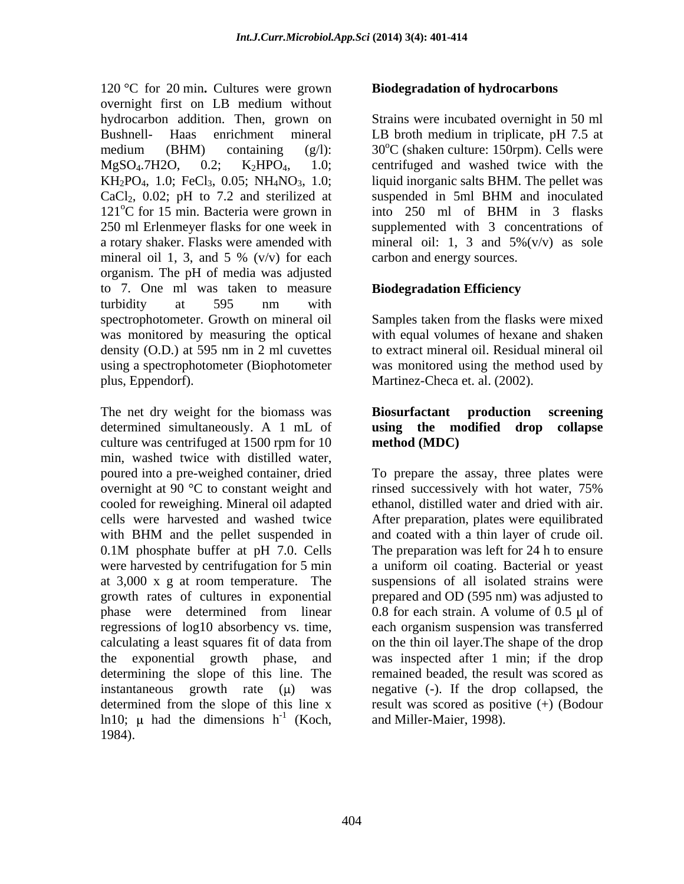120 °C for 20 min**.** Cultures were grown overnight first on LB medium without hydrocarbon addition. Then, grown on Bushnell- Haas enrichment mineral LB broth medium in triplicate, pH 7.5 at medium (BHM) containing  $(g/1)$ :  $30^{\circ}$ C (shaken culture: 150rpm). Cells were  $MgSO<sub>4</sub>$ .7H2O, 0.2;  $K<sub>2</sub>HPO<sub>4</sub>$ , 1.0; centrifuged and washed twice with the  $KH_2PO_4$ , 1.0; FeCl<sub>3</sub>, 0.05;  $NH_4NO_3$ , 1.0; liquid inorganic salts BHM. The pellet was  $CaCl<sub>2</sub>$ , 0.02; pH to 7.2 and sterilized at suspended in 5ml BHM and inoculated  $121^{\circ}$ C for 15 min. Bacteria were grown in into 250 ml of BHM in 3 flasks 250 ml Erlenmeyer flasks for one week in supplemented with 3 concentrations of a rotary shaker. Flasks were amended with mineral oil: 1, 3 and 5%(v/v) as sole mineral oil 1, 3, and 5 %  $(v/v)$  for each organism. The pH of media was adjusted to 7. One ml was taken to measure turbidity at 595 nm with spectrophotometer. Growth on mineral oil Samples taken from the flasks were mixed was monitored by measuring the optical with equal volumes of hexane and shaken density (O.D.) at 595 nm in 2 ml cuvettes to extract mineral oil. Residual mineral oil using a spectrophotometer (Biophotometer plus, Eppendorf). Martinez-Checa et. al. (2002).

The net dry weight for the biomass was **Biosurfactant production screening** determined simultaneously. A 1 mL of using the modified drop collapse culture was centrifuged at 1500 rpm for 10 min, washed twice with distilled water, overnight at 90 °C to constant weight and rinsed successively with hot water, 75% were harvested by centrifugation for 5 min ln10;  $\mu$  had the dimensions h<sup>-1</sup> (Koch, 1984).

## **Biodegradation of hydrocarbons**

Strains were incubated overnight in 50 ml suspended in 5ml BHM and inoculated into 250 ml of BHM in 3 flasks carbon and energy sources.

## **Biodegradation Efficiency**

was monitored using the method used by

## **Biosurfactant production screening using the modified drop collapse method (MDC)**

poured into a pre-weighed container, dried To prepare the assay, three plates were cooled for reweighing. Mineral oil adapted ethanol, distilled water and dried with air. cells were harvested and washed twice After preparation, plates were equilibrated with BHM and the pellet suspended in and coated with a thin layer of crude oil. 0.1M phosphate buffer at pH 7.0. Cells The preparation was left for 24 h to ensure at 3,000 x g at room temperature. The suspensions of all isolated strains were growth rates of cultures in exponential prepared and OD (595 nm) was adjusted to phase were determined from linear  $0.8$  for each strain. A volume of  $0.5 \mu$  of regressions of log10 absorbency vs. time, each organism suspension was transferred calculating a least squares fit of data from on the thin oil layer. The shape of the drop the exponential growth phase, and was inspected after 1 min; if the drop determining the slope of this line. The remained beaded, the result was scored as instantaneous growth rate  $(\mu)$  was negative  $(-)$ . If the drop collapsed, the determined from the slope of this line x result was scored as positive (+) (Bodour  $^{1}$  (Koob and Miller Major 1008) (Koch, and Miller-Maier, 1998).rinsed successively with hot water, 75% and coated with a thin layer of crude oil. The preparation was left for 24 h to ensure a uniform oil coating. Bacterial or yeast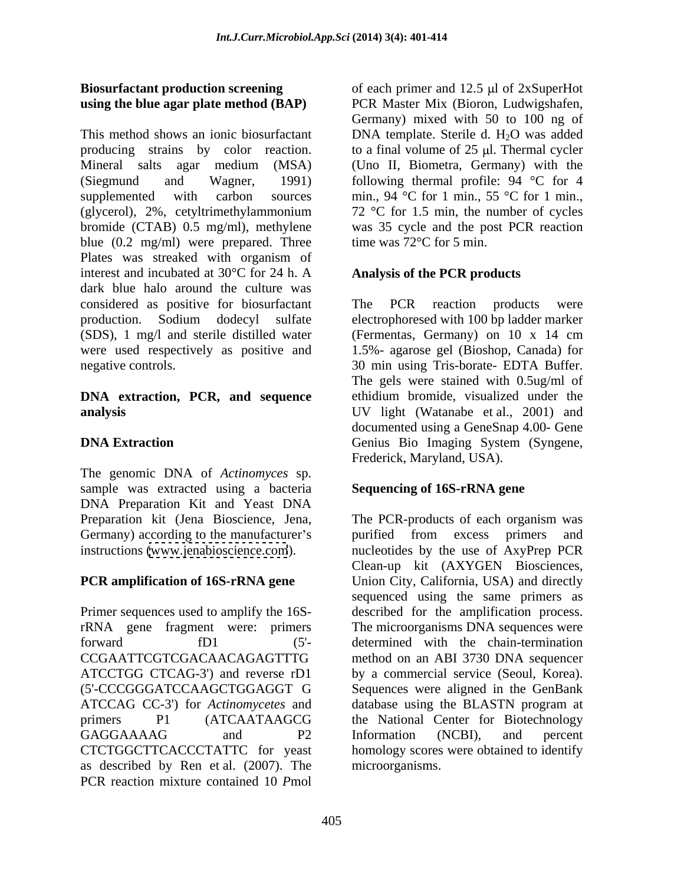# **using the blue agar plate method (BAP)**

This method shows an ionic biosurfactant DNA template. Sterile d.  $H_2O$  was added producing strains by color reaction. to a final volume of  $25 \mu$ . Thermal cycler Mineral salts agar medium (MSA) (Uno II, Biometra, Germany) with the (Siegmund and Wagner, 1991) following thermal profile: 94 °C for 4 supplemented with carbon sources min., 94 °C for 1 min., 55 °C for 1 min., (glycerol), 2%, cetyltrimethylammonium  $72 \text{ °C}$  for 1.5 min, the number of cycles bromide (CTAB) 0.5 mg/ml), methylene blue (0.2 mg/ml) were prepared. Three Plates was streaked with organism of interest and incubated at  $30^{\circ}$ C for 24 h. A **Analysis of the PCR products** dark blue halo around the culture was considered as positive for biosurfactant production. Sodium dodecyl sulfate electrophoresed with 100 bp ladder marker  $(SDS)$ , 1 mg/l and sterile distilled water (Fermentas, Germany) on 10 x 14 cm were used respectively as positive and 1.5%- agarose gel (Bioshop, Canada) for negative controls. 30 min using Tris-borate- EDTA Buffer.

# **DNA extraction, PCR, and sequence**

The genomic DNA of *Actinomyces* sp. sample was extracted using a bacteria DNA Preparation Kit and Yeast DNA

as described by Ren et al. (2007). The PCR reaction mixture contained 10 *P*mol

**Biosurfactant production screening** of each primer and 12.5 µl of 2xSuperHot PCR Master Mix (Bioron, Ludwigshafen, Germany) mixed with 50 to 100 ng of 72 °C for 1.5 min, the number of cycles was 35 cycle and the post PCR reaction time was 72°C for 5 min.

## **Analysis of the PCR products**

**analysis** UV light (Watanabe et al., 2001) and **DNA Extraction** Genius Bio Imaging System (Syngene, The PCR reaction products were (Fermentas, Germany) on  $10 \times 14$  cm The gels were stained with 0.5ug/ml of ethidium bromide, visualized under the documented using a GeneSnap 4.00- Gene Frederick, Maryland, USA).

## **Sequencing of 16S-rRNA gene**

Preparation kit (Jena Bioscience, Jena, The PCR-products of each organism was Germany) according to the manufacturer's contracted from excess primers and instructions [\(www.jenabioscience.com](http://www.jenabioscience.com)). nucleotides by the use of AxyPrep PCR **PCR amplification of 16S-rRNA gene** Union City, California, USA) and directly Primer sequences used to amplify the 16S-described for the amplification process. rRNA gene fragment were: primers The microorganisms DNA sequences were forward fD1 (5'- determined with the chain-termination CCGAATTCGTCGACAACAGAGTTTG method on an ABI 3730 DNA sequencer ATCCTGG CTCAG-3') and reverse rD1 by a commercial service (Seoul, Korea). (5'-CCCGGGATCCAAGCTGGAGGT G Sequences were aligned in the GenBank ATCCAG CC-3') for *Actinomycetes* and database using the BLASTN program at primers P1 (ATCAATAAGCG the National Center for Biotechnology GAGGAAAAG and P2 Information (NCBI), and percent CTCTGGCTTCACCCTATTC for yeast homology scores were obtained to identify Clean-up kit (AXYGEN Biosciences, sequenced using the same primers as the National Center for Biotechnology Information (NCBI), and percent microorganisms.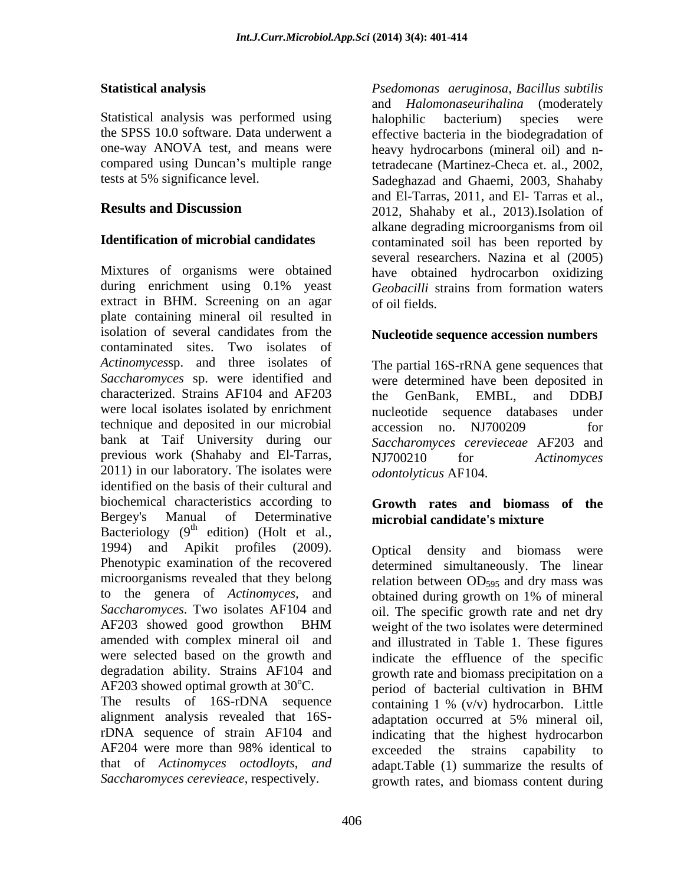Statistical analysis was performed using halophilic bacterium) species were tests at 5% significance level.

Mixtures of organisms were obtained during enrichment using 0.1% yeast *Geobacilli* strains from formation waters extract in BHM. Screening on an agar of oil fields. plate containing mineral oil resulted in isolation of several candidates from the **Nucleotide sequence accession numbers** contaminated sites. Two isolates of *Actinomyces*sp. and three isolates of *Saccharomyces* sp. were identified and were determined have been deposited in characterized. Strains AF104 and AF203 the GenBank, EMBL, and DDBJ were local isolates isolated by enrichment mucleotide technique and deposited in our microbial accession no NJ700209 for bank at Taif University during our previous work (Shahaby and El-Tarras, NJ700210 for Actinomyces 2011) in our laboratory. The isolates were identified on the basis of their cultural and biochemical characteristics according to **Growth rates and biomass of the** Bergey's Manual of Determinative **microbial candidate's mixture** Bacteriology  $(9<sup>th</sup>$  edition) (Holt et al., 1994) and Apikit profiles (2009). to the genera of *Actinomyces,* and

alignment analysis revealed that 16S-

**Statistical analysis** *Psedomonas aeruginosa*, *Bacillus subtilis* the SPSS 10.0 software. Data underwent a effective bacteria in the biodegradation of one-way ANOVA test, and means were heavy hydrocarbons (mineral oil) and ncompared using Duncan's multiple range tetradecane (Martinez-Checa et. al., 2002, **Results and Discussion** 2012, Shahaby et al., 2013).Isolation of **Identification of microbial candidates** contaminated soil has been reported by and *Halomonaseurihalina* (moderately halophilic bacterium) species were Sadeghazad and Ghaemi, 2003, Shahaby and El-Tarras, 2011, and El- Tarras et al., alkane degrading microorganisms from oil several researchers. Nazina et al (2005) have obtained hydrocarbon oxidizing *Geobacilli* strains from formation waters of oil fields.

### **Nucleotide sequence accession numbers**

The partial 16S-rRNA gene sequences that the GenBank, EMBL, and DDBJ sequence databases under accession no. NJ700209 for *Saccharomyces cerevieceae* AF203 and NJ700210 for *Actinomyces odontolyticus* AF104.

Phenotypic examination of the recovered determined simultaneously. The linear microorganisms revealed that they belong relation between OD<sub>595</sub> and dry mass was Saccharomyces. Two isolates AF104 and oil. The specific growth rate and net dry AF203 showed good growthon BHM weight of the two isolates were determined amended with complex mineral oil and and illustrated in Table 1. These figures were selected based on the growth and indicate the effluence of the specific degradation ability. Strains AF104 and growth rate and biomass precipitation on a  $AF203$  showed optimal growth at  $30^{\circ}$ C. period of bacterial cultivation in BHM The results of 16S-rDNA sequence containing 1 % (v/v) hydrocarbon. Little rDNA sequence of strain AF104 and indicating that the highest hydrocarbon AF204 were more than 98% identical to exceeded the strains capability to that of *Actinomyces octodloyts*, *and*  adapt.Table (1) summarize the results of Saccharomyces cerevieace, respectively. The growth rates, and biomass content during Optical density and biomass were obtained during growth on 1% of mineral period of bacterial cultivation in BHM adaptation occurred at 5% mineral oil, exceeded the strains capability to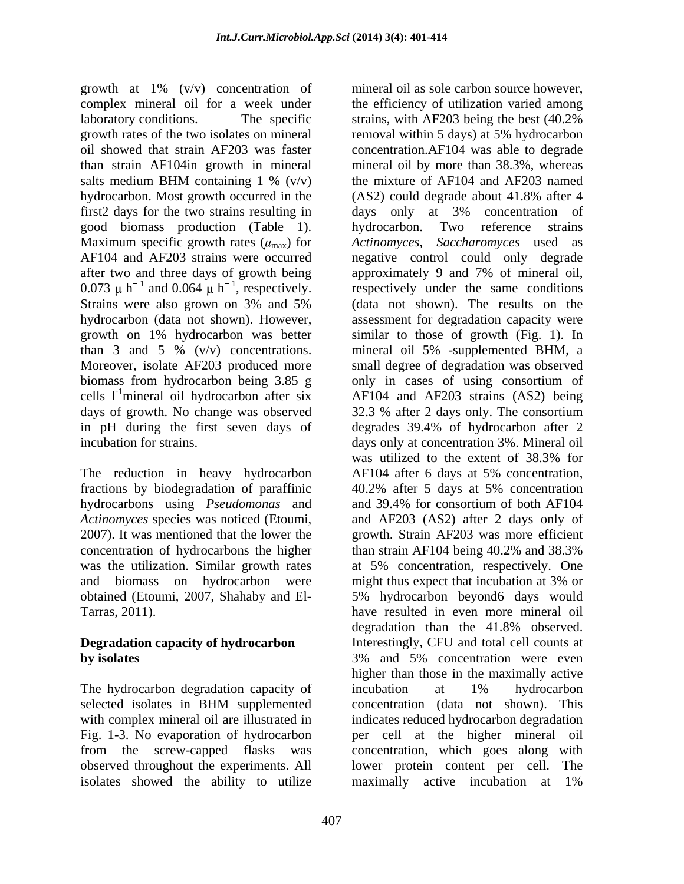growth at 1% (v/v) concentration of complex mineral oil for a week under growth rates of the two isolates on mineral removal within 5 days) at 5% hydrocarbon than strain AF104in growth in mineral hydrocarbon. Most growth occurred in the (AS2) could degrade about 41.8% after 4 first2 days for the two strains resulting in days only at 3% concentration of good biomass production (Table 1). days of growth. No change was observed 32.3 % after 2 days only. The consortium

The reduction in heavy hydrocarbon AF104 after 6 days at 5% concentration, fractions by biodegradation of paraffinic 40.2% after 5 days at 5% concentration hydrocarbons using *Pseudomonas* and and 39.4% for consortium of both AF104 concentration of hydrocarbons the higher than strain AF104 being 40.2% and 38.3% was the utilization. Similar growth rates at 5% concentration, respectively. One and biomass on hydrocarbon were might thus expect that incubation at 3% or obtained (Etoumi, 2007, Shahaby and El-

The hydrocarbon degradation capacity of incubation at 1% hydrocarbon isolates showed the ability to utilize maximally active incubation at 1%

laboratory conditions. The specific strains, with AF203 being the best (40.2% oil showed that strain AF203 was faster concentration.AF104 was able to degrade salts medium BHM containing  $1\%$  (v/v) the mixture of AF104 and AF203 named Maximum specific growth rates ( $\mu_{\text{max}}$ ) for Actinomyces, Saccharomyces used as AF104 and AF203 strains were occurred negative control could only degrade after two and three days of growth being approximately 9 and 7% of mineral oil, 0.073  $\mu$  h<sup>-1</sup> and 0.064  $\mu$  h<sup>-1</sup>, respectively. respectively under the same conditions Strains were also grown on 3% and 5% (data not shown). The results on the hydrocarbon (data not shown). However, assessment for degradation capacity were growth on 1% hydrocarbon was better similar to those of growth (Fig. 1). In than 3 and 5 % (v/v) concentrations. mineral oil 5% -supplemented BHM, a Moreover, isolate AF203 produced more small degree of degradation was observed biomass from hydrocarbon being 3.85 g only in cases of using consortium of cells l<sup>-1</sup>mineral oil hydrocarbon after six AF104 and AF203 strains (AS2) being in pH during the first seven days of degrades 39.4% of hydrocarbon after 2 incubation for strains. days only at concentration 3%. Mineral oil *Actinomyces* species was noticed (Etoumi, and AF203 (AS2) after 2 days only of 2007). It was mentioned that the lower the growth. Strain AF203 was more efficient was the utilization. Similar growth rates at 5% concentration, respectively. One Tarras, 2011). have resulted in even more mineral oil **Degradation capacity of hydrocarbon** Interestingly, CFU and total cell counts at **by isolates** the set of the set of the set of the set of the set of the set of the set of the set of the set of the set of the set of the set of the set of the set of the set of the set of the set of the set of the set of selected isolates in BHM supplemented concentration (data not shown). This with complex mineral oil are illustrated in indicates reduced hydrocarbon degradation Fig. 1-3. No evaporation of hydrocarbon per cell at the higher mineral oil from the screw-capped flasks was concentration, which goes along with observed throughout the experiments. All lower protein content per cell. The mineral oil as sole carbon source however, the efficiency of utilization varied among removal within 5 days) at 5% hydrocarbon mineral oil by more than 38.3%, whereas the mixture of AF104 and AF203 named (AS2) could degrade about 41.8% after 4 days only at 3% concentration of hydrocarbon. Two reference strains (data not shown). The results on the similar to those of growth (Fig. 1). In 32.3 % after 2 days only. The consortium was utilized to the extent of 38.3% for AF104 after 6 days at 5% concentration, 40.2% after 5 days at 5% concentration and 39.4% for consortium of both AF104 than strain AF104 being 40.2% and 38.3% might thus expect that incubation at 3% or 5% hydrocarbon beyond6 days would degradation than the 41.8% observed. 3% and 5% concentration were even higher than those in the maximally active incubation at 1% hydrocarbon concentration (data not shown). This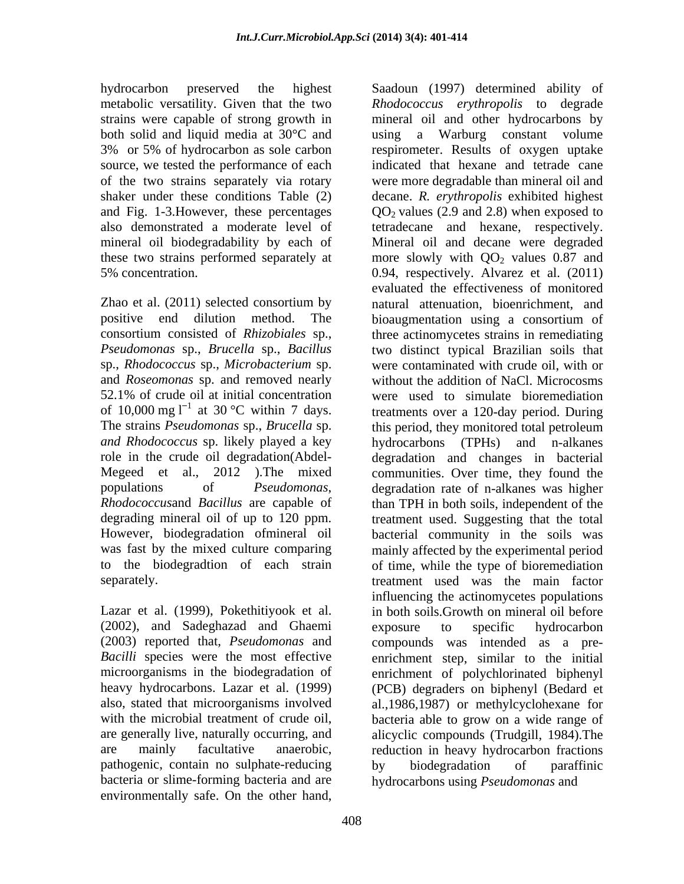hydrocarbon preserved the highest Saadoun (1997) determined ability of metabolic versatility. Given that the two strains were capable of strong growth in source, we tested the performance of each

Zhao et al. (2011) selected consortium by sp., *Rhodococcus* sp., *Microbacterium* sp. and *Roseomonas* sp. and removed nearly 52.1% of crude oil at initial concentration of 10,000 mg  $I^{-1}$  at 30 °C within 7 days.

Lazar et al. (1999), Pokethitiyook et al. (2002), and Sadeghazad and Ghaemi (2003) reported that, *Pseudomonas* and pathogenic, contain no sulphate-reducing by biodegradation of paraffinic bacteria or slime-forming bacteria and are environmentally safe. On the other hand,

both solid and liquid media at 30°C and using a Warburg constant volume 3% or 5% of hydrocarbon as sole carbon respirometer. Results of oxygen uptake of the two strains separately via rotary were more degradable than mineral oil and shaker under these conditions Table (2) decane. *R. erythropolis* exhibited highest and Fig. 1-3. However, these percentages  $QO_2$  values (2.9 and 2.8) when exposed to also demonstrated a moderate level of tetradecane and hexane, respectively. mineral oil biodegradability by each of Mineral oil and decane were degraded these two strains performed separately at more slowly with  $QQ_2$  values 0.87 and 5% concentration. 0.94, respectively. Alvarez et al. (2011) positive end dilution method. The bioaugmentation using a consortium of consortium consisted of *Rhizobiales* sp., three actinomycetes strains in remediating *Pseudomonas* sp., *Brucella* sp., *Bacillus* two distinct typical Brazilian soils that 52.1% of crude oil at initial concentration at 30 °C within 7 days. treatments over a 120-day period. During The strains *Pseudomonas* sp., *Brucella* sp. this period, they monitored total petroleum *and Rhodococcus* sp. likely played a key hydrocarbons (TPHs) and n-alkanes role in the crude oil degradation(Abdel- degradation and changes in bacterial Megeed et al., 2012 ).The mixed communities. Over time, they found the populations of *Pseudomonas*, degradation rate of n-alkanes was higher *Rhodococcus*and *Bacillus* are capable of than TPH in both soils, independent of the degrading mineral oil of up to 120 ppm. treatment used. Suggesting that the total However, biodegradation ofmineral oil bacterial community in the soils was was fast by the mixed culture comparing mainly affected by the experimental period to the biodegradtion of each strain of time, while the type of bioremediation separately. treatment used was the main factor Bacilli species were the most effective enrichment step, similar to the initial microorganisms in the biodegradation of enrichment of polychlorinated biphenyl heavy hydrocarbons. Lazar et al. (1999) (PCB) degraders on biphenyl (Bedard et also, stated that microorganisms involved al.,1986,1987) or methylcyclohexane for with the microbial treatment of crude oil, bacteria able to grow on a wide range of are generally live, naturally occurring, and alicyclic compounds (Trudgill, 1984).The are mainly facultative anaerobic, reduction in heavy hydrocarbon fractions *Rhodococcus erythropolis* to degrade mineral oil and other hydrocarbons by respirometer. Results of oxygen uptake indicated that hexane and tetrade cane evaluated the effectiveness of monitored natural attenuation, bioenrichment, and were contaminated with crude oil, with or without the addition of NaCl. Microcosms were used to simulate bioremediation influencing the actinomycetes populations in both soils.Growth on mineral oil before exposure to specific hydrocarbon compounds was intended as a pre by biodegradation of paraffinic hydrocarbons using *Pseudomonas* and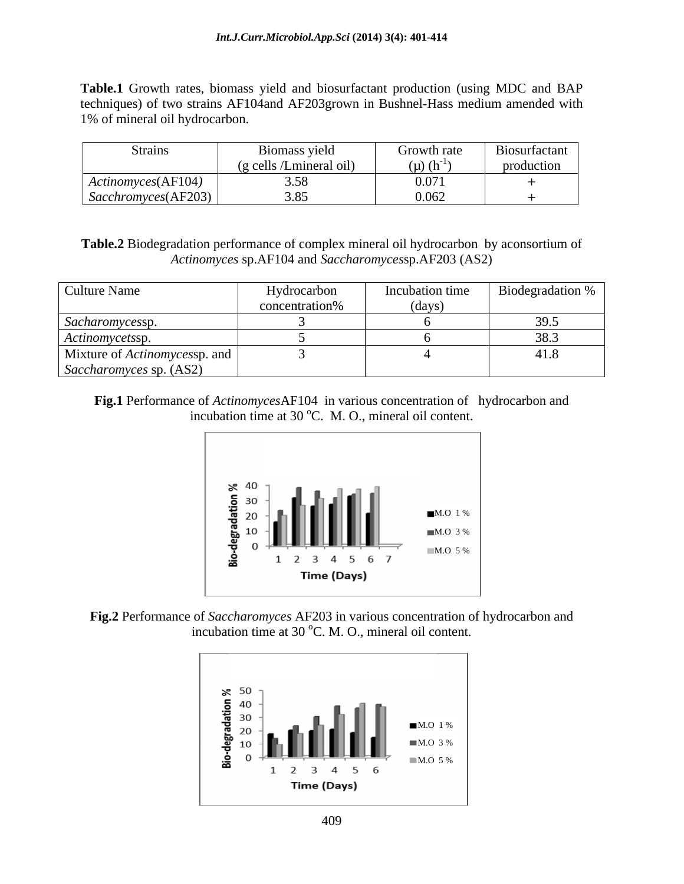**Table.1** Growth rates, biomass yield and biosurfactant production (using MDC and BAP techniques) of two strains AF104and AF203grown in Bushnel-Hass medium amended with 1% of mineral oil hydrocarbon.

| Strains             | Biomass yield                                                 | Growth rate        | Biosurfactant |
|---------------------|---------------------------------------------------------------|--------------------|---------------|
|                     | $\bullet$ $\bullet$ $\bullet$<br>/Lmineral oil)<br>$(g$ cells | $(\mu)$ $(h^{-1})$ | production    |
| Actionowces(AF104)  | $\sim$ $\sim$<br>J.JU                                         | 0.071              |               |
| Sacchronyces(AF203) | $\sim$ $\sim$                                                 | 0.062              |               |

**Table.2** Biodegradation performance of complex mineral oil hydrocarbon by aconsortium of *Actinomyces* sp.AF104 and *Saccharomyces*sp.AF203 (AS2)

| Culture Name                         | Hydrocarbon    |       | Incubation time   Biodegradation % |
|--------------------------------------|----------------|-------|------------------------------------|
|                                      | concentration% | (days |                                    |
| Sacharomycessp.                      |                |       |                                    |
| Actinomycetssp.                      |                |       |                                    |
| Mixture of <i>Actinomycessp.</i> and |                |       | 41.8                               |
| Saccharomyces sp. (AS2)              |                |       |                                    |

**Fig.1** Performance of *Actinomyces*AF104 in various concentration of hydrocarbon and incubation time at  $30^{\circ}$ C. M. O., mineral oil content.





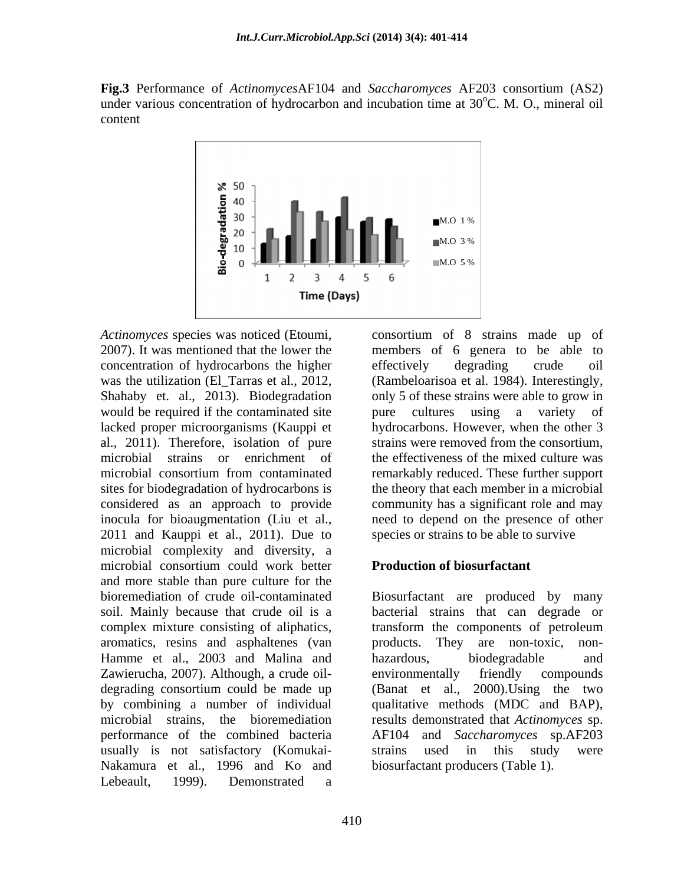**Fig.3** Performance of *Actinomyces*AF104 and *Saccharomyces* AF203 consortium (AS2) under various concentration of hydrocarbon and incubation time at  $30^{\circ}$ C. M. O., mineral oil content



*Actinomyces* species was noticed (Etoumi, consortium of 8 strains made up of 2007). It was mentioned that the lower the members of 6 genera to be able to concentration of hydrocarbons the higher was the utilization (El\_Tarras et al., 2012, (Rambeloarisoa et al. 1984). Interestingly, Shahaby et. al., 2013). Biodegradation only 5 of these strains were able to grow in would be required if the contaminated site bure cultures using a variety of lacked proper microorganisms (Kauppi et al., 2011). Therefore, isolation of pure microbial strains or enrichment of the effectiveness of the mixed culture was microbial consortium from contaminated remarkably reduced. These further support sites for biodegradation of hydrocarbons is the theory that each member in a microbial considered as an approach to provide inocula for bioaugmentation (Liu et al., a need to depend on the presence of other 2011 and Kauppi et al., 2011). Due to microbial complexity and diversity, a microbial consortium could work better **Production of biosurfactant** and more stable than pure culture for the Hamme et al., 2003 and Malina and hazardous, biodegradable and Zawierucha, 2007). Although, a crude oil usually is not satisfactory (Komukai- Nakamura et al., 1996 and Ko and Lebeault, 1999). Demonstrated a

410

effectively degrading crude oil pure cultures using a variety hydrocarbons. However, when the other 3 strains were removed from the consortium, community has a significant role and may species or strains to be able to survive

### **Production of biosurfactant**

bioremediation of crude oil-contaminated Biosurfactant are produced by many soil. Mainly because that crude oil is a bacterial strains that can degrade or complex mixture consisting of aliphatics, transform the components of petroleum aromatics, resins and asphaltenes (van products. They are non-toxic, non degrading consortium could be made up (Banat et al., 2000).Using the two by combining a number of individual qualitative methods (MDC and BAP), microbial strains, the bioremediation results demonstrated that *Actinomyces* sp. performance of the combined bacteria AF104 and *Saccharomyces* sp.AF203 hazardous, biodegradable and environmentally friendly compounds strains used in this study were biosurfactant producers (Table 1).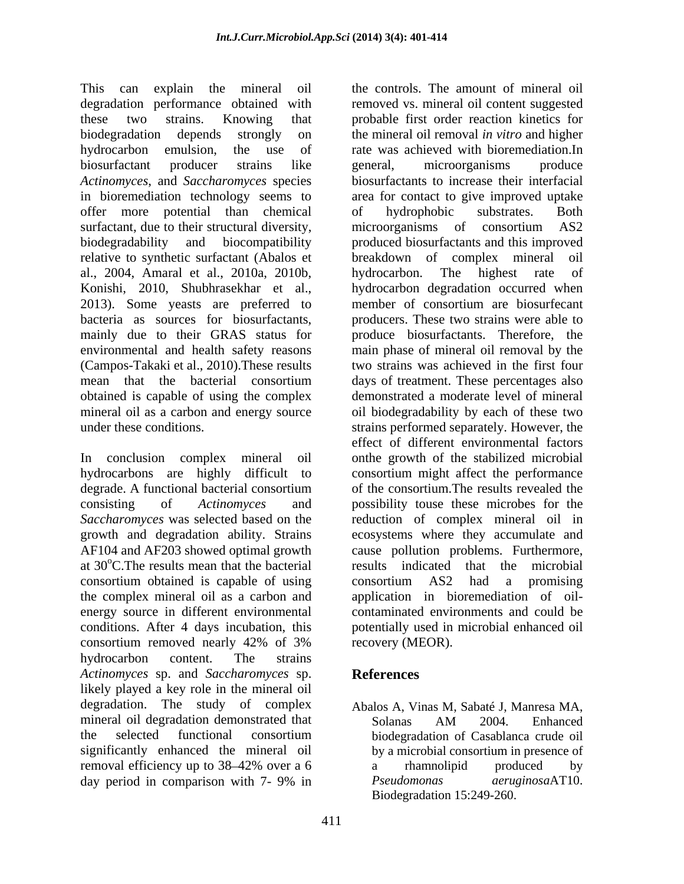This can explain the mineral oil the controls. The amount of mineral oil degradation performance obtained with these two strains. Knowing that probable first order reaction kinetics for biodegradation depends strongly on the mineral oil removal *in vitro* and higher hydrocarbon emulsion, the use of rate was achieved with bioremediation.In biosurfactant producer strains like *Actinomyces*, and *Saccharomyces* species biosurfactants to increase their interfacial in bioremediation technology seems to area for contact to give improved uptake offer more potential than chemical surfactant, due to their structural diversity, microorganisms of consortium AS2 biodegradability and biocompatibility produced biosurfactants and this improved relative to synthetic surfactant (Abalos et al., 2004, Amaral et al., 2010a, 2010b, Konishi, 2010, Shubhrasekhar et al., 2013). Some yeasts are preferred to member of consortium are biosurfecant bacteria as sources for biosurfactants, mainly due to their GRAS status for produce biosurfactants. Therefore, the environmental and health safety reasons main phase of mineral oil removal by the (Campos-Takaki et al., 2010).These results two strains was achieved in the first four mean that the bacterial consortium days of treatment. These percentages also obtained is capable of using the complex mineral oil as a carbon and energy source oil biodegradability by each of these two

consortium obtained is capable of using the complex mineral oil as a carbon and energy source in different environmental consortium removed nearly 42% of 3% hydrocarbon content. The strains *Actinomyces* sp. and *Saccharomyces* sp. likely played a key role in the mineral oil degradation. The study of complex Abalos A, Vinas M, Sabaté J, Manresa MA, mineral oil degradation demonstrated that Solanas AM 2004. Enhanced the selected functional consortium significantly enhanced the mineral oil removal efficiency up to 38–42% over a 6 a mamnolipid produced by day period in comparison with 7- 9% in Beudomonas aeruginosaAT10.

under these conditions. strains performed separately. However, the In conclusion complex mineral oil onthe growth of the stabilized microbial hydrocarbons are highly difficult to consortium might affect the performance degrade. A functional bacterial consortium of the consortium. The results revealed the consisting of *Actinomyces* and possibility touse these microbes for the *Saccharomyces* was selected based on the reduction of complex mineral oil in growth and degradation ability. Strains ecosystems where they accumulate and AF104 and AF203 showed optimal growth cause pollution problems. Furthermore, at 30°C. The results mean that the bacterial results indicated that the microbial conditions. After 4 days incubation, this potentially used in microbial enhanced oil removed vs. mineral oil content suggested general, microorganisms produce of hydrophobic substrates. Both microorganisms of consortium AS2 breakdown of complex mineral hydrocarbon. The highest rate of hydrocarbon degradation occurred when member of consortium are biosurfecant producers. These two strains were able to demonstrated a moderate level of mineral effect of different environmental factors of the consortium.The results revealed the consortium AS2 had a promising application in bioremediation of oil contaminated environments and could be recovery (MEOR).

## **References**

Solanas AM 2004. Enhanced biodegradation of Casablanca crude oil by a microbial consortium in presence of a rhamnolipid produced by *Pseudomonas aeruginosa*AT10. Biodegradation 15:249-260.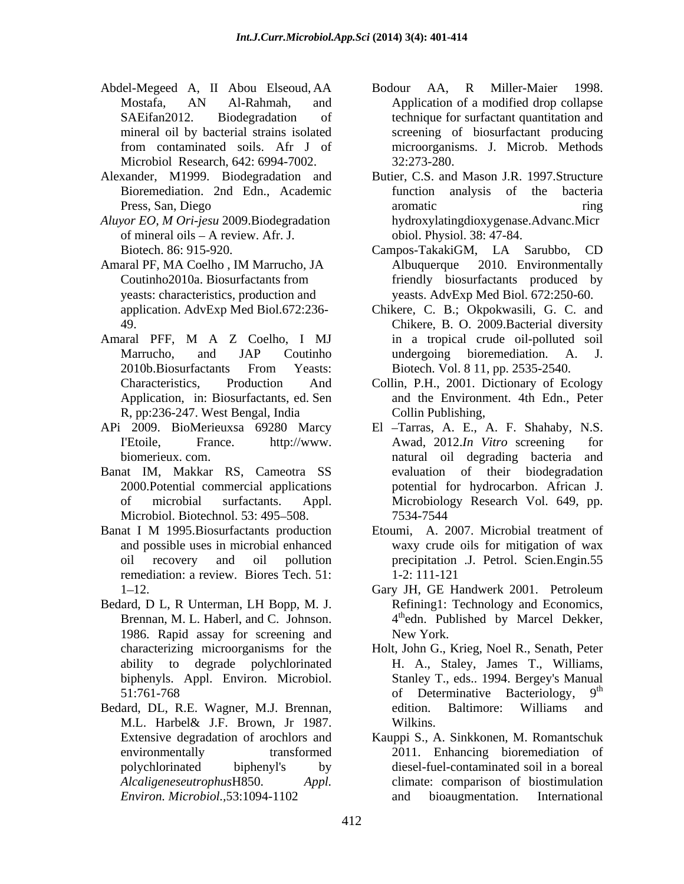- Abdel-Megeed A, II Abou Elseoud, AA Microbiol Research, 642: 6994-7002. 32:273-280.
- 
- *Aluyor EO, M Ori-jesu* 2009.Biodegradation of mineral oils  $- A$  review. Afr. J.
- 
- Application, in: Biosurfactants, ed. Sen R, pp:236-247. West Bengal, India
- 
- Microbiol. Biotechnol. 53: 495–508. 2534-7544
- remediation: a review. Biores Tech. 51: 1-2: 111-121
- Bedard, D L, R Unterman, LH Bopp, M. J. 1986. Rapid assay for screening and
- Bedard, DL, R.E. Wagner, M.J. Brennan,
- Mostafa, AN Al-Rahmah, and Application of a modified drop collapse SAEifan2012. Biodegradation of technique for surfactant quantitation and mineral oil by bacterial strains isolated screening of biosurfactant producing from contaminated soils. Afr J of microorganisms. J. Microb. Methods Bodour AA, R Miller-Maier 1998. 32:273-280.
- Alexander, M1999. Biodegradation and Butier, C.S. and Mason J.R. 1997.Structure Bioremediation. 2nd Edn., Academic Press, San, Diego aromatic contract and the contract of the contract of the contract of the contract of the contract of the contract of the contract of the contract of the contract of the contract of the contract of the co function analysis of the aromatic ring ring hydroxylatingdioxygenase.Advanc.Micr obiol. Physiol. 38: 47-84.
- Biotech. 86: 915-920. Campos-TakakiGM, LA Sarubbo, CD Amaral PF, MA Coelho , IM Marrucho, JA Coutinho2010a. Biosurfactants from friendly biosurfactants produced by yeasts: characteristics, production and yeasts. AdvExp Med Biol. 672:250-60. Campos-TakakiGM, LA Sarubbo, CD Albuquerque 2010. Environmentally
- application. AdvExp Med Biol.672:236- Chikere, C. B.; Okpokwasili, G. C. and 49. Chikere, B. O. 2009.Bacterial diversity Amaral PFF, M A Z Coelho, I MJ Marrucho, and JAP Coutinho undergoing bioremediation. A. J. 2010b.Biosurfactants From Yeasts: in a tropical crude oil-polluted soil undergoing bioremediation. A. J. Biotech. Vol. 8 11, pp. 2535-2540.
	- Characteristics, Production And Collin, P.H., 2001. Dictionary of Ecology and the Environment. 4th Edn., Peter Collin Publishing,
- APi 2009. BioMerieuxsa 69280 Marcy El Tarras, A. E., A. F. Shahaby, N.S. I'Etoile, France. http://www. Awad, 2012.*In Vitro* screening for biomerieux. com. natural oil degrading bacteria and Banat IM, Makkar RS, Cameotra SS evaluation of their biodegradation 2000.Potential commercial applications potential for hydrocarbon. African J. of microbial surfactants. Appl. Microbiology Research Vol. 649, pp. 7534-7544
- Banat I M 1995. Biosurfactants production Etoumi, A. 2007. Microbial treatment of and possible uses in microbial enhanced waxy crude oils for mitigation of wax oil recovery and oil pollution precipitation .J. Petrol. Scien.Engin.55 Etoumi, A. 2007. Microbial treatment of 1-2: 111-121
	- 1 12. Gary JH, GE Handwerk 2001. Petroleum Brennan, M. L. Haberl, and C. Johnson. 4<sup>th</sup>edn. Published by Marcel Dekker, Refining1: Technology and Economics, New York.
	- characterizing microorganisms for the Holt, John G., Krieg, Noel R., Senath, Peter ability to degrade polychlorinated H. A., Staley, James T., Williams, biphenyls. Appl. Environ. Microbiol. Stanley T., eds.. 1994. Bergey's Manual 51:761-768 of Determinative Bacteriology,  $9<sup>th</sup>$ M.L. Harbel& J.F. Brown, Jr 1987. the contract of the contract of the contract of the contract of the contract of the contract of the contract of the contract of the contract of the contract of the contract of the contract of the contract of the contract o edition. Baltimore: Williams and Wilkins.
	- Extensive degradation of arochlors and Kauppi S., A. Sinkkonen, M. Romantschuk environmentally transformed 2011. Enhancing bioremediation of polychlorinated biphenyl's by diesel-fuel-contaminated soil in a boreal *Alcaligeneseutrophus*H850. *Appl.*  climate: comparison of biostimulation *Environ. Microbiol.,*53:1094-1102 and bioaugmentation. International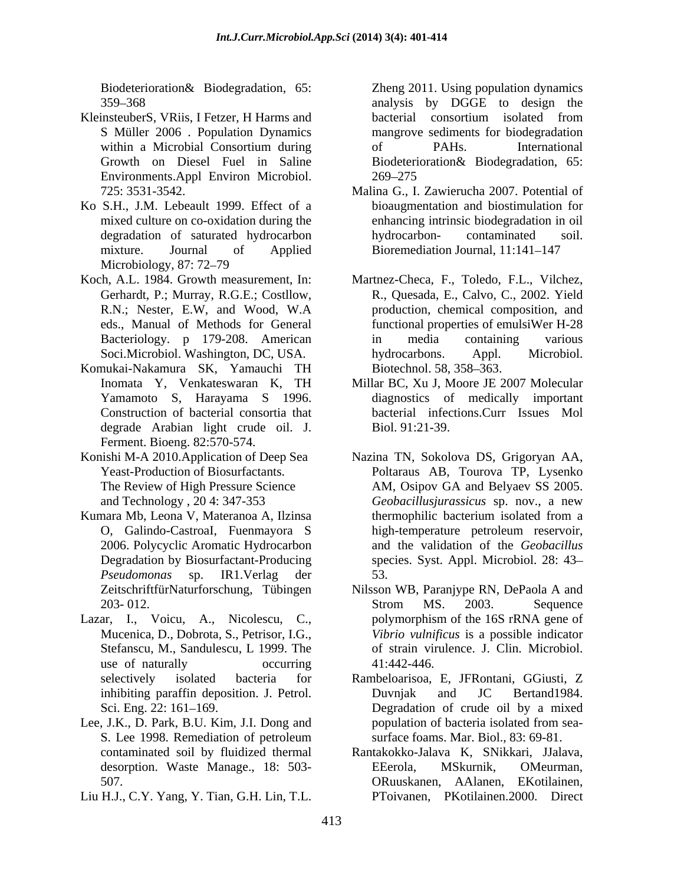- KleinsteuberS, VRiis, I Fetzer, H Harms and  $\qquad \qquad$  bacterial consortium isolated from S Müller 2006 . Population Dynamics Growth on Diesel Fuel in Saline Environments.Appl Environ Microbiol.
- Ko S.H., J.M. Lebeault 1999. Effect of a mixture. Journal of Applied Bioremediation Journal, 11:141–147 Microbiology, 87: 72–79
- Koch, A.L. 1984. Growth measurement, In: Martnez-Checa, F., Toledo, F.L., Vilchez,
- Komukai-Nakamura SK, Yamauchi TH Inomata Y, Venkateswaran K, TH Construction of bacterial consortia that degrade Arabian light crude oil. J. Ferment. Bioeng. 82:570-574.
- 
- Kumara Mb, Leona V, Materanoa A, Ilzinsa 2006. Polycyclic Aromatic Hydrocarbon
- Lazar, I., Voicu, A., Nicolescu, C.,
- Lee, J.K., D. Park, B.U. Kim, J.I. Dong and population of bacteria isolated from sea-
- Liu H.J., C.Y. Yang, Y. Tian, G.H. Lin, T.L.

Biodeterioration & Biodegradation, 65: <br>
Zheng 2011. Using population dynamics 359 368 analysis by DGGE to design the within a Microbial Consortium during of PAHs. International Zheng 2011. Using population dynamics bacterial consortium isolated from mangrove sediments for biodegradation of PAHs. International Biodeterioration& Biodegradation, 65: 269 275

- 725: 3531-3542. Malina G., I. Zawierucha 2007. Potential of mixed culture on co-oxidation during the enhancing intrinsic biodegradation in oil degradation of saturated hydrocarbon bydrocarbon- contaminated soil. bioaugmentation and biostimulation for hydrocarbon- contaminated soil.
- Gerhardt, P.; Murray, R.G.E.; Costllow, R., Quesada, E., Calvo, C., 2002. Yield R.N.; Nester, E.W, and Wood, W.A production, chemical composition, and eds., Manual of Methods for General functional properties of emulsiWer H-28 Bacteriology. p 179-208. American Soci.Microbiol. Washington, DC, USA. hydrocarbons. Appl. Microbiol. in media containing various hydrocarbons. Appl. Microbiol. Biotechnol. 58, 358–363.
- Yamamoto S, Harayama S 1996. diagnostics of medically important Millar BC, Xu J, Moore JE 2007 Molecular bacterial infections.Curr Issues Mol Biol. 91:21-39.
- Konishi M-A 2010.Application of Deep Sea Nazina TN, Sokolova DS, Grigoryan AA, Yeast-Production of Biosurfactants. Poltaraus AB, Tourova TP, Lysenko The Review of High Pressure Science AM, Osipov GA and Belyaev SS 2005. and Technology , 20 4: 347-353 *Geobacillusjurassicus* sp. nov., a new O, Galindo-CastroaI, Fuenmayora S Degradation by Biosurfactant-Producing species. Syst. Appl. Microbiol. 28: 43 *Pseudomonas* sp. IR1.Verlag der thermophilic bacterium isolated from a high-temperature petroleum reservoir, and the validation of the *Geobacillus* 53.
	- ZeitschriftfürNaturforschung, Tübingen Nilsson WB, Paranjype RN, DePaola A and 203-012. Strom MS. 2003. Sequence Mucenica, D., Dobrota, S., Petrisor, I.G., *Vibrio vulnificus* is a possible indicator Stefanscu, M., Sandulescu, L 1999. The of strain virulence. J. Clin. Microbiol. use of naturally occurring  $41:442-446$ . Strom MS. 2003. Sequence polymorphism of the 16S rRNA gene of 41:442-446.
	- selectively isolated bacteria for Rambeloarisoa, E, JFRontani, GGiusti, Z inhibiting paraffin deposition. J. Petrol. Duvnjak and JC Bertand1984. Sci. Eng. 22: 161–169. Compared a Degradation of crude oil by a mixed S. Lee 1998. Remediation of petroleum surface foams. Mar. Biol., 83: 69-81. Duvnjak and JC Bertand1984. population of bacteria isolated from sea surface foams. Mar. Biol., 83: 69-81.
	- contaminated soil by fluidized thermal Rantakokko-Jalava K, SNikkari, JJalava, desorption. Waste Manage., 18: 503- 507. **Solution** Space of the CR and CR and CR and CR and CR and CR and CR and CR and CR and CR and CR and CR and CR and CR and CR and CR and CR and CR and CR and CR and CR and CR and CR and CR and CR and CR and CR and CR a EEerola, MSkurnik, OMeurman, PToivanen, PKotilainen. 2000. Direct